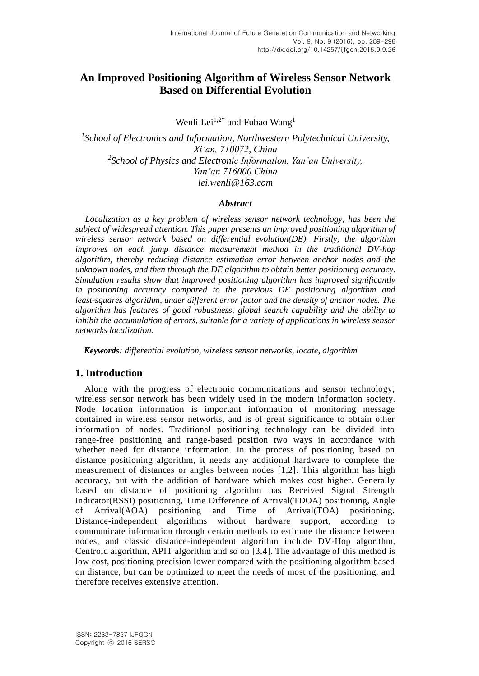# **An Improved Positioning Algorithm of Wireless Sensor Network Based on Differential Evolution**

Wenli Lei<sup>1,2\*</sup> and Fubao Wang<sup>1</sup>

<sup>1</sup> School of Electronics and Information, Northwestern Polytechnical University, *Xi'an, 710072, China 2 School of Physics and Electronic Information, Yan'an University, Yan'an 716000 China lei.wenli@163.com*

### *Abstract*

*Localization as a key problem of wireless sensor network technology, has been the subject of widespread attention. This paper presents an improved positioning algorithm of wireless sensor network based on differential evolution(DE). Firstly, the algorithm improves on each jump distance measurement method in the traditional DV-hop algorithm, thereby reducing distance estimation error between anchor nodes and the unknown nodes, and then through the DE algorithm to obtain better positioning accuracy. Simulation results show that improved positioning algorithm has improved significantly in positioning accuracy compared to the previous DE positioning algorithm and least-squares algorithm, under different error factor and the density of anchor nodes. The algorithm has features of good robustness, global search capability and the ability to inhibit the accumulation of errors, suitable for a variety of applications in wireless sensor networks localization.* 

*Keywords: differential evolution, wireless sensor networks, locate, algorithm*

# **1. Introduction**

Along with the progress of electronic communications and sensor technology, wireless sensor network has been widely used in the modern information society. Node location information is important information of monitoring message contained in wireless sensor networks, and is of great significance to obtain other information of nodes. Traditional positioning technology can be divided into range-free positioning and range-based position two ways in accordance with whether need for distance information. In the process of positioning based on distance positioning algorithm, it needs any additional hardware to complete the measurement of distances or angles between nodes [1,2]. This algorithm has high accuracy, but with the addition of hardware which makes cost higher. Generally based on distance of positioning algorithm has Received Signal Strength Indicator(RSSI) positioning, Time Difference of Arrival(TDOA) positioning, Angle of Arrival(AOA) positioning and Time of Arrival(TOA) positioning. Distance-independent algorithms without hardware support, according to communicate information through certain methods to estimate the distance between nodes, and classic distance-independent algorithm include DV-Hop algorithm, Centroid algorithm, APIT algorithm and so on [3,4]. The advantage of this method is low cost, positioning precision lower compared with the positioning algorithm based on distance, but can be optimized to meet the needs of most of the positioning, and therefore receives extensive attention.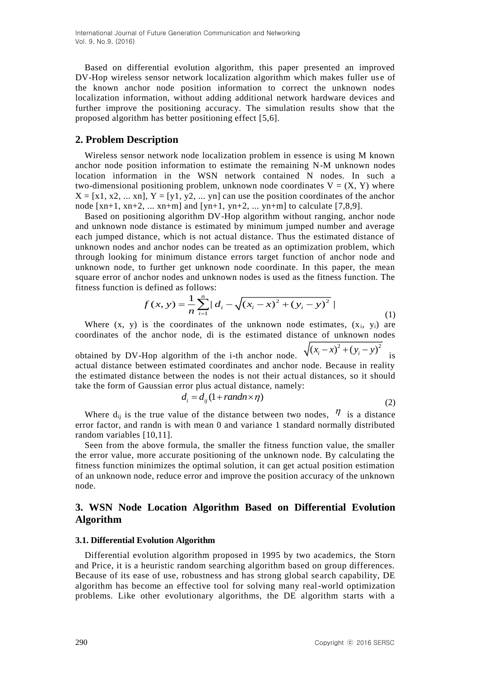Based on differential evolution algorithm, this paper presented an improved DV-Hop wireless sensor network localization algorithm which makes fuller us e of the known anchor node position information to correct the unknown nodes localization information, without adding additional network hardware devices and further improve the positioning accuracy. The simulation results show that the proposed algorithm has better positioning effect [5,6].

### **2. Problem Description**

Wireless sensor network node localization problem in essence is using M known anchor node position information to estimate the remaining N-M unknown nodes location information in the WSN network contained N nodes. In such a two-dimensional positioning problem, unknown node coordinates  $V = (X, Y)$  where  $X = [x1, x2, ... xn], Y = [y1, y2, ... yn]$  can use the position coordinates of the anchor node  $[xn+1, xn+2, ... xn+m]$  and  $[yn+1, yn+2, ... yn+m]$  to calculate  $[7,8,9]$ .

Based on positioning algorithm DV-Hop algorithm without ranging, anchor node and unknown node distance is estimated by minimum jumped number and average each jumped distance, which is not actual distance. Thus the estimated distance of unknown nodes and anchor nodes can be treated as an optimization problem, which through looking for minimum distance errors target function of anchor node and unknown node, to further get unknown node coordinate. In this paper, the mean square error of anchor nodes and unknown nodes is used as the fitness function. The fitness function is defined as follows:

$$
f(x, y) = \frac{1}{n} \sum_{i=1}^{n} |d_i - \sqrt{(x_i - x)^2 + (y_i - y)^2}|
$$
\n(1)

Where  $(x, y)$  is the coordinates of the unknown node estimates,  $(x_i, y_i)$  are coordinates of the anchor node, di is the estimated distance of unknown nodes obtained by DV-Hop algorithm of the i-th anchor node.  $\sqrt{(x_i - x)^2 + (y_i - y)^2}$  is

actual distance between estimated coordinates and anchor node. Because in reality the estimated distance between the nodes is not their actual distances, so it should take the form of Gaussian error plus actual distance, namely:

$$
d_i = d_{ij}(1 + randn \times \eta) \tag{2}
$$

Where  $d_{ij}$  is the true value of the distance between two nodes,  $\eta$  is a distance error factor, and randn is with mean 0 and variance 1 standard normally distributed random variables [10,11].

Seen from the above formula, the smaller the fitness function value, the smaller the error value, more accurate positioning of the unknown node. By calculating the fitness function minimizes the optimal solution, it can get actual position estimation of an unknown node, reduce error and improve the position accuracy of the unknown node.

## **3. WSN Node Location Algorithm Based on Differential Evolution Algorithm**

#### **3.1. Differential Evolution Algorithm**

Differential evolution algorithm proposed in 1995 by two academics, the Storn and Price, it is a heuristic random searching algorithm based on group differences. Because of its ease of use, robustness and has strong global search capability, DE algorithm has become an effective tool for solving many real-world optimization problems. Like other evolutionary algorithms, the DE algorithm starts with a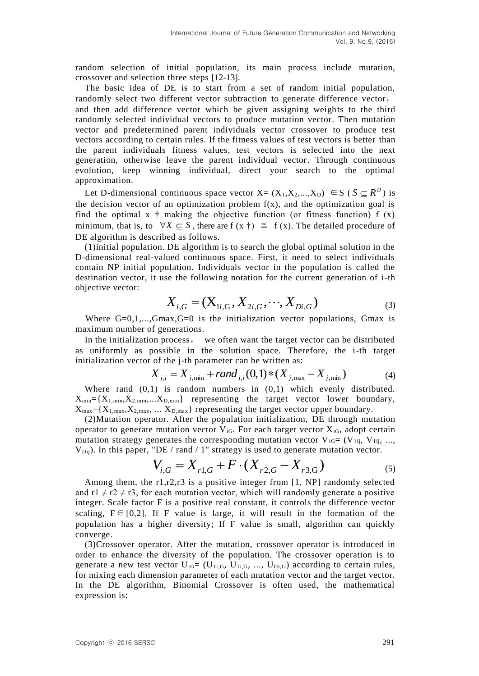random selection of initial population, its main process include mutation, crossover and selection three steps [12-13].

The basic idea of DE is to start from a set of random initial population, randomly select two different vector subtraction to generate difference vector, and then add difference vector which be given assigning weights to the third randomly selected individual vectors to produce mutation vector. Then mutation vector and predetermined parent individuals vector crossover to produce test vectors according to certain rules. If the fitness values of test vectors is better than the parent individuals fitness values, test vectors is selected into the next generation, otherwise leave the parent individual vector. Through continuous evolution, keep winning individual, direct your search to the optimal approximation.

Let D-dimensional continuous space vector  $X = (X_1, X_2, ..., X_D) \in S$  ( $S \subseteq R^D$ ) is the decision vector of an optimization problem  $f(x)$ , and the optimization goal is find the optimal x  $\dagger$  making the objective function (or fitness function) f (x) minimum, that is, to  $\forall X \subseteq S$ , there are f  $(x \dagger) \leq f(x)$ . The detailed procedure of DE algorithm is described as follows.

(1)initial population. DE algorithm is to search the global optimal solution in the D-dimensional real-valued continuous space. First, it need to select individuals contain NP initial population. Individuals vector in the population is called the destination vector, it use the following notation for the current generation of i-th objective vector:

$$
X_{i,G} = (X_{1i,G}, X_{2i,G}, \cdots, X_{Di,G})
$$
\n(3)

Where  $G=0,1,...,G$ max, $G=0$  is the initialization vector populations, Gmax is maximum number of generations.

In the initialization process, we often want the target vector can be distributed as uniformly as possible in the solution space. Therefore, the i-th target initialization vector of the j-th parameter can be written as:

$$
X_{j,i} = X_{j,\min} + rand_{j,i}(0,1) * (X_{j,\max} - X_{j,\min})
$$
 (4)

Where rand  $(0,1)$  is random numbers in  $(0,1)$  which evenly distributed.  $X_{min} = {X_{1,min}, X_{2,min},...X_{D,min}}$  representing the target vector lower boundary,  $X_{\text{max}} = \{X_{1,\text{max}},X_{2,\text{max}},\dots X_{D,\text{max}}\}\$ representing the target vector upper boundary.

(2)Mutation operator. After the population initialization, DE through mutation operator to generate mutation vector  $V_{iG}$ . For each target vector  $X_{iG}$ , adopt certain mutation strategy generates the corresponding mutation vector  $V_{iG}=(V_{1ij}, V_{1ij}, ...,$  $V_{\text{Dij}}$ ). In this paper, "DE / rand / 1" strategy is used to generate mutation vector.

$$
V_{i,G} = X_{r1,G} + F \cdot (X_{r2,G} - X_{r3,G})
$$
\n<sup>(5)</sup>

Among them, the r1,r2,r3 is a positive integer from [1, NP] randomly selected and  $r1 \neq r2 \neq r3$ , for each mutation vector, which will randomly generate a positive integer. Scale factor F is a positive real constant, it controls the difference vector scaling,  $F \in [0,2]$ . If F value is large, it will result in the formation of the population has a higher diversity; If F value is small, algorithm can quickly converge.

(3)Crossover operator. After the mutation, crossover operator is introduced in order to enhance the diversity of the population. The crossover operation is to generate a new test vector  $U_{iG}=(U_{1i,G}, U_{1i,G}, ..., U_{Di,G})$  according to certain rules, for mixing each dimension parameter of each mutation vector and the target vector. In the DE algorithm, Binomial Crossover is often used, the mathematical expression is: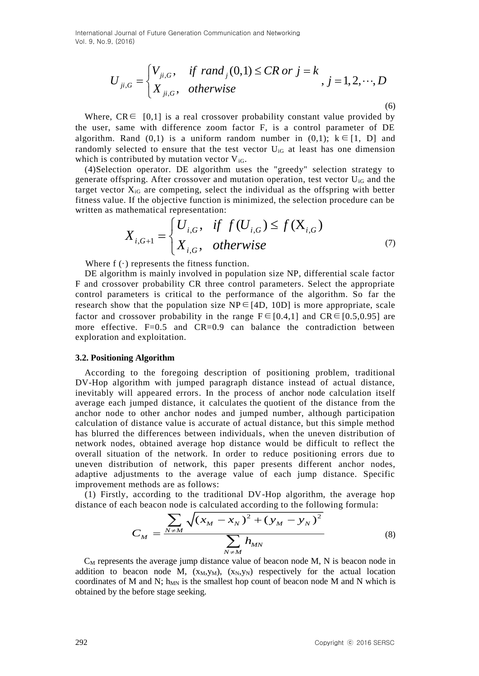$$
U_{ji,G} = \begin{cases} V_{ji,G}, & \text{if } rand_j(0,1) \le CR \text{ or } j = k \\ X_{ji,G}, & \text{otherwise} \end{cases}, j = 1, 2, \cdots, D
$$

Where,  $CR \in [0,1]$  is a real crossover probability constant value provided by the user, same with difference zoom factor F, is a control parameter of DE algorithm. Rand  $(0,1)$  is a uniform random number in  $(0,1)$ ;  $k \in [1, D]$  and randomly selected to ensure that the test vector  $U_{iG}$  at least has one dimension which is contributed by mutation vector  $V_{iG}$ .

(4)Selection operator. DE algorithm uses the "greedy" selection strategy to generate offspring. After crossover and mutation operation, test vector  $U_{iG}$  and the target vector  $X_{iG}$  are competing, select the individual as the offspring with better fitness value. If the objective function is minimized, the selection procedure can be written as mathematical representation:

$$
X_{i,G+1} = \begin{cases} U_{i,G}, & \text{if } f(U_{i,G}) \le f(X_{i,G}) \\ X_{i,G}, & \text{otherwise} \end{cases}
$$
(7)

Where  $f(\cdot)$  represents the fitness function.

DE algorithm is mainly involved in population size NP, differential scale factor F and crossover probability CR three control parameters. Select the appropriate control parameters is critical to the performance of the algorithm. So far the research show that the population size  $NP \in [4D, 10D]$  is more appropriate, scale factor and crossover probability in the range  $F \in [0.4,1]$  and  $CR \in [0.5,0.95]$  are more effective.  $F=0.5$  and  $CR=0.9$  can balance the contradiction between exploration and exploitation.

#### **3.2. Positioning Algorithm**

 $U_{\beta,G} = \begin{cases} \sum_{j=1}^n \sum_{j=1}^n (x_j - \mu) \mu(x_j - \mu) \end{cases}$ <br>
Where, CR= [0,1] is a real crossover probability constant value provided by<br>
the tuse, same with difference zoom factor F, is a control parameter of DES<br>Indigendity. R According to the foregoing description of positioning problem, traditional DV-Hop algorithm with jumped paragraph distance instead of actual distance, inevitably will appeared errors. In the process of anchor node calculation itself average each jumped distance, it calculates the quotient of the distance from the anchor node to other anchor nodes and jumped number, although participation calculation of distance value is accurate of actual distance, but this simple method has blurred the differences between individuals, when the uneven distribution of network nodes, obtained average hop distance would be difficult to reflect the overall situation of the network. In order to reduce positioning errors due to uneven distribution of network, this paper presents different anchor nodes, adaptive adjustments to the average value of each jump distance. Specific improvement methods are as follows:

(1) Firstly, according to the traditional DV-Hop algorithm, the average hop

distance of each beacon node is calculated according to the following formula:  
\n
$$
C_M = \frac{\sum_{N \neq M} \sqrt{(x_M - x_N)^2 + (y_M - y_N)^2}}{\sum_{N \neq M} h_{MN}}
$$
\n(8)

 $C_M$  represents the average jump distance value of beacon node M, N is beacon node in addition to beacon node M,  $(x_M, y_M)$ ,  $(x_N, y_N)$  respectively for the actual location coordinates of M and N;  $h_{MN}$  is the smallest hop count of beacon node M and N which is obtained by the before stage seeking.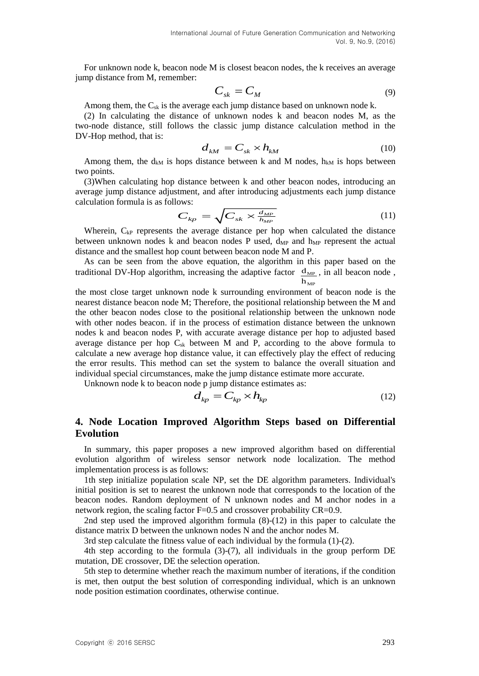For unknown node k, beacon node M is closest beacon nodes, the k receives an average jump distance from M, remember:

$$
C_{sk} = C_M \tag{9}
$$

Among them, the  $C_{sk}$  is the average each jump distance based on unknown node k.

(2) In calculating the distance of unknown nodes k and beacon nodes M, as the two-node distance, still follows the classic jump distance calculation method in the DV-Hop method, that is:

$$
d_{kM} = C_{sk} \times h_{kM} \tag{10}
$$

Among them, the d<sub>kM</sub> is hops distance between k and M nodes,  $h_{kM}$  is hops between two points.

(3)When calculating hop distance between k and other beacon nodes, introducing an average jump distance adjustment, and after introducing adjustments each jump distance calculation formula is as follows:

$$
C_{kp} = \sqrt{C_{sk} \times \frac{d_{MP}}{h_{MP}}}
$$
 (11)

Wherein,  $C_{kP}$  represents the average distance per hop when calculated the distance between unknown nodes  $k$  and beacon nodes  $P$  used,  $d_{MP}$  and  $h_{MP}$  represent the actual distance and the smallest hop count between beacon node M and P.

As can be seen from the above equation, the algorithm in this paper based on the traditional DV-Hop algorithm, increasing the adaptive factor  $\frac{d_{MP}}{dx}$ , in all beacon node,  $\rm h_{\rm MP}$ 

the most close target unknown node k surrounding environment of beacon node is the nearest distance beacon node M; Therefore, the positional relationship between the M and the other beacon nodes close to the positional relationship between the unknown node with other nodes beacon. if in the process of estimation distance between the unknown nodes k and beacon nodes P, with accurate average distance per hop to adjusted based average distance per hop  $C_{sk}$  between M and P, according to the above formula to calculate a new average hop distance value, it can effectively play the effect of reducing the error results. This method can set the system to balance the overall situation and individual special circumstances, make the jump distance estimate more accurate.

Unknown node k to beacon node p jump distance estimates as:

$$
d_{kp} = C_{kp} \times h_{kp} \tag{12}
$$

## **4. Node Location Improved Algorithm Steps based on Differential Evolution**

In summary, this paper proposes a new improved algorithm based on differential evolution algorithm of wireless sensor network node localization. The method implementation process is as follows:

1th step initialize population scale NP, set the DE algorithm parameters. Individual's initial position is set to nearest the unknown node that corresponds to the location of the beacon nodes. Random deployment of N unknown nodes and M anchor nodes in a network region, the scaling factor F=0.5 and crossover probability CR=0.9.

2nd step used the improved algorithm formula (8)-(12) in this paper to calculate the distance matrix D between the unknown nodes N and the anchor nodes M.

3rd step calculate the fitness value of each individual by the formula (1)-(2).

4th step according to the formula (3)-(7), all individuals in the group perform DE mutation, DE crossover, DE the selection operation.

5th step to determine whether reach the maximum number of iterations, if the condition is met, then output the best solution of corresponding individual, which is an unknown node position estimation coordinates, otherwise continue.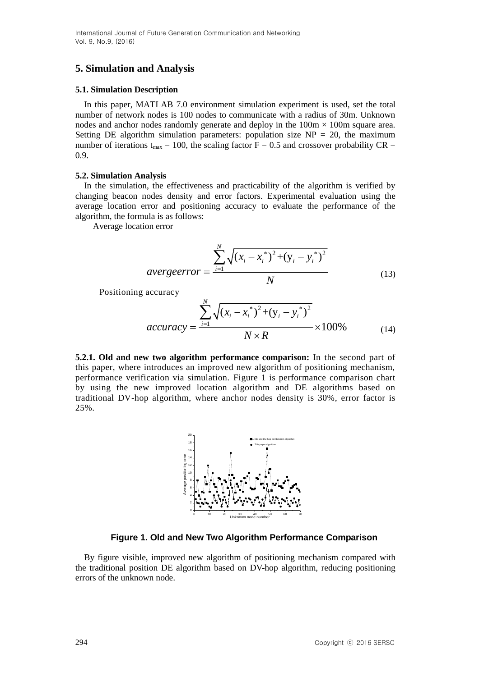# **5. Simulation and Analysis**

### **5.1. Simulation Description**

In this paper, MATLAB 7.0 environment simulation experiment is used, set the total number of network nodes is 100 nodes to communicate with a radius of 30m. Unknown nodes and anchor nodes randomly generate and deploy in the  $100m \times 100m$  square area. Setting DE algorithm simulation parameters: population size  $NP = 20$ , the maximum number of iterations  $t_{max} = 100$ , the scaling factor  $F = 0.5$  and crossover probability CR = 0.9.

### **5.2. Simulation Analysis**

In the simulation, the effectiveness and practicability of the algorithm is verified by changing beacon nodes density and error factors. Experimental evaluation using the average location error and positioning accuracy to evaluate the performance of the algorithm, the formula is as follows:

Average location error

$$
averageerror = \frac{\sum_{i=1}^{N} \sqrt{(x_i - x_i^*)^2 + (y_i - y_i^*)^2}}{N}
$$
\n(13)

Positioning accuracy

$$
accuracy = \frac{\sum_{i=1}^{N} \sqrt{(x_i - x_i^*)^2 + (y_i - y_i^*)^2}}{N \times R} \times 100\%
$$
(14)

**5.2.1. Old and new two algorithm performance comparison:** In the second part of this paper, where introduces an improved new algorithm of positioning mechanism, performance verification via simulation. Figure 1 is performance comparison chart by using the new improved location algorithm and DE algorithms based on traditional DV-hop algorithm, where anchor nodes density is 30%, error factor is 25%.



**Figure 1. Old and New Two Algorithm Performance Comparison**

By figure visible, improved new algorithm of positioning mechanism compared with the traditional position DE algorithm based on DV-hop algorithm, reducing positioning errors of the unknown node.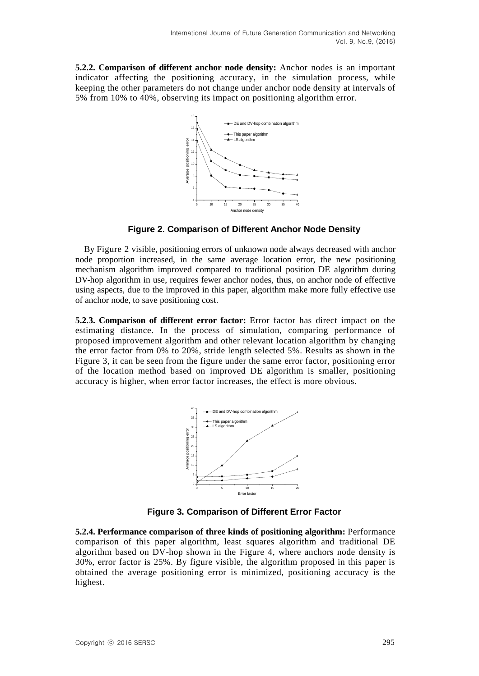**5.2.2. Comparison of different anchor node density:** Anchor nodes is an important indicator affecting the positioning accuracy, in the simulation process, while keeping the other parameters do not change under anchor node density at intervals of 5% from 10% to 40%, observing its impact on positioning algorithm error.



**Figure 2. Comparison of Different Anchor Node Density**

By Figure 2 visible, positioning errors of unknown node always decreased with anchor node proportion increased, in the same average location error, the new positioning mechanism algorithm improved compared to traditional position DE algorithm during DV-hop algorithm in use, requires fewer anchor nodes, thus, on anchor node of effective using aspects, due to the improved in this paper, algorithm make more fully effective use of anchor node, to save positioning cost.

**5.2.3. Comparison of different error factor:** Error factor has direct impact on the estimating distance. In the process of simulation, comparing performance of proposed improvement algorithm and other relevant location algorithm by changing the error factor from 0% to 20%, stride length selected 5%. Results as shown in the Figure 3, it can be seen from the figure under the same error factor, positioning error of the location method based on improved DE algorithm is smaller, positioning accuracy is higher, when error factor increases, the effect is more obvious.



**Figure 3. Comparison of Different Error Factor**

**5.2.4. Performance comparison of three kinds of positioning algorithm:** Performance comparison of this paper algorithm, least squares algorithm and traditional DE algorithm based on DV-hop shown in the Figure 4, where anchors node density is 30%, error factor is 25%. By figure visible, the algorithm proposed in this paper is obtained the average positioning error is minimized, positioning accuracy is the highest.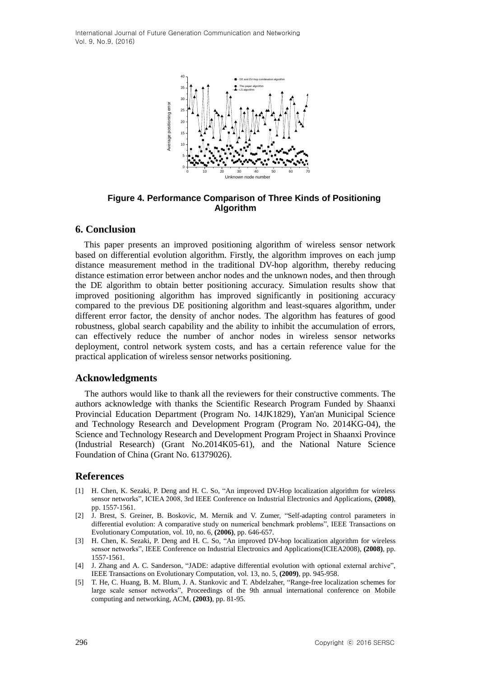

**Figure 4. Performance Comparison of Three Kinds of Positioning Algorithm**

### **6. Conclusion**

This paper presents an improved positioning algorithm of wireless sensor network based on differential evolution algorithm. Firstly, the algorithm improves on each jump distance measurement method in the traditional DV-hop algorithm, thereby reducing distance estimation error between anchor nodes and the unknown nodes, and then through the DE algorithm to obtain better positioning accuracy. Simulation results show that improved positioning algorithm has improved significantly in positioning accuracy compared to the previous DE positioning algorithm and least-squares algorithm, under different error factor, the density of anchor nodes. The algorithm has features of good robustness, global search capability and the ability to inhibit the accumulation of errors, can effectively reduce the number of anchor nodes in wireless sensor networks deployment, control network system costs, and has a certain reference value for the practical application of wireless sensor networks positioning.

#### **Acknowledgments**

The authors would like to thank all the reviewers for their constructive comments. The authors acknowledge with thanks the Scientific Research Program Funded by Shaanxi Provincial Education Department (Program No. 14JK1829), Yan'an Municipal Science and Technology Research and Development Program (Program No. 2014KG-04), the Science and Technology Research and Development Program Project in Shaanxi Province (Industrial Research) (Grant No.2014K05-61), and the National Nature Science Foundation of China (Grant No. 61379026).

### **References**

- [1] H. Chen, K. Sezaki, P. Deng and H. C. So, "An improved DV-Hop localization algorithm for wireless sensor networks", ICIEA 2008, 3rd IEEE Conference on Industrial Electronics and Applications, **(2008)**, pp. 1557-1561.
- [2] J. Brest, S. Greiner, B. Boskovic, M. Mernik and V. Zumer, "Self-adapting control parameters in differential evolution: A comparative study on numerical benchmark problems", IEEE Transactions on Evolutionary Computation, vol. 10, no. 6, **(2006)**, pp. 646-657.
- [3] H. Chen, K. Sezaki, P. Deng and H. C. So, "An improved DV-hop localization algorithm for wireless sensor networks", IEEE Conference on Industrial Electronics and Applications(ICIEA2008), **(2008)**, pp. 1557-1561.
- [4] J. Zhang and A. C. Sanderson, "JADE: adaptive differential evolution with optional external archive", IEEE Transactions on Evolutionary Computation, vol. 13, no. 5, **(2009)**, pp. 945-958.
- [5] T. He, C. Huang, B. M. Blum, J. A. Stankovic and T. Abdelzaher, "Range-free localization schemes for large scale sensor networks", Proceedings of the 9th annual international conference on Mobile computing and networking, ACM, **(2003)**, pp. 81-95.